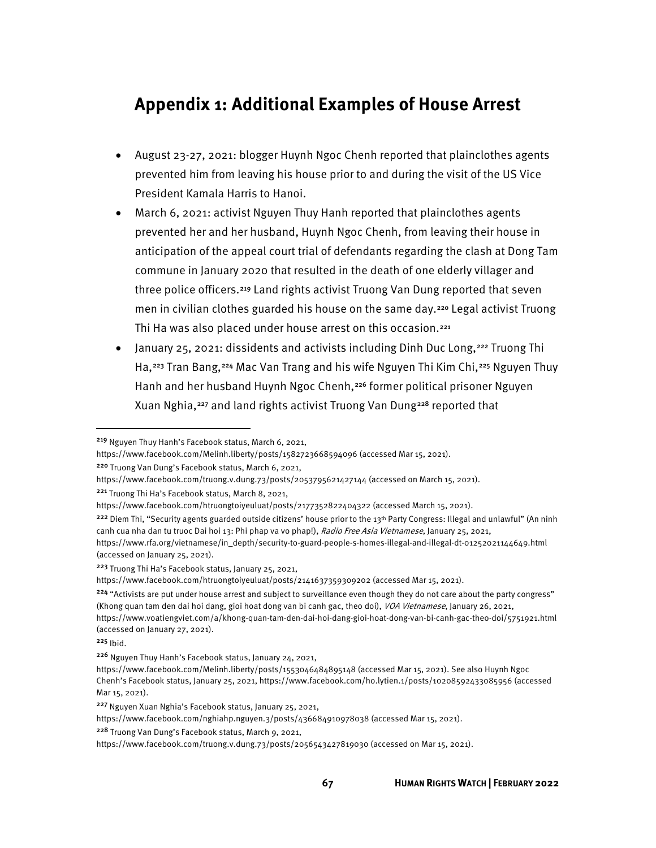## **Appendix 1: Additional Examples of House Arrest**

- August 23-27, 2021: blogger Huynh Ngoc Chenh reported that plainclothes agents prevented him from leaving his house prior to and during the visit of the US Vice President Kamala Harris to Hanoi.
- March 6, 2021: activist Nguyen Thuy Hanh reported that plainclothes agents prevented her and her husband, Huynh Ngoc Chenh, from leaving their house in anticipation of the appeal court trial of defendants regarding the clash at Dong Tam commune in January 2020 that resulted in the death of one elderly villager and three police officers.[219](#page-0-0) Land rights activist Truong Van Dung reported that seven men in civilian clothes guarded his house on the same day.<sup>[220](#page-0-1)</sup> Legal activist Truong Thi Ha was also placed under house arrest on this occasion.<sup>[221](#page-0-2)</sup>
- January 25, 2021: dissidents and activists including Dinh Duc Long,<sup>[222](#page-0-3)</sup> Truong Thi Ha,[223](#page-0-4) Tran Bang,[224](#page-0-5) Mac Van Trang and his wife Nguyen Thi Kim Chi,[225](#page-0-6) Nguyen Thuy Hanh and her husband Huynh Ngoc Chenh,<sup>[226](#page-0-7)</sup> former political prisoner Nguyen Xuan Nghia,[227](#page-0-8) and land rights activist Truong Van Dung[228](#page-0-9) reported that

<span id="page-0-2"></span><sup>221</sup> Truong Thi Ha's Facebook status, March 8, 2021,

<span id="page-0-4"></span><sup>223</sup> Truong Thi Ha's Facebook status, January 25, 2021,

https://www.facebook.com/htruongtoiyeuluat/posts/2141637359309202 (accessed Mar 15, 2021).

<span id="page-0-0"></span><sup>219</sup> Nguyen Thuy Hanh's Facebook status, March 6, 2021,

https://www.facebook.com/Melinh.liberty/posts/1582723668594096 (accessed Mar 15, 2021).

<span id="page-0-1"></span><sup>220</sup> Truong Van Dung's Facebook status, March 6, 2021,

https://www.facebook.com/truong.v.dung.73/posts/2053795621427144 (accessed on March 15, 2021).

https://www.facebook.com/htruongtoiyeuluat/posts/2177352822404322 (accessed March 15, 2021).

<span id="page-0-3"></span><sup>&</sup>lt;sup>222</sup> Diem Thi, "Security agents guarded outside citizens' house prior to the 13<sup>th</sup> Party Congress: Illegal and unlawful" (An ninh canh cua nha dan tu truoc Dai hoi 13: Phi phap va vo phap!), Radio Free Asia Vietnamese, January 25, 2021, https://www.rfa.org/vietnamese/in\_depth/security-to-guard-people-s-homes-illegal-and-illegal-dt-01252021144649.html

<sup>(</sup>accessed on January 25, 2021).

<span id="page-0-5"></span><sup>&</sup>lt;sup>224</sup> "Activists are put under house arrest and subject to surveillance even though they do not care about the party congress" (Khong quan tam den dai hoi dang, gioi hoat dong van bi canh gac, theo doi), VOA Vietnamese, January 26, 2021, https://www.voatiengviet.com/a/khong-quan-tam-den-dai-hoi-dang-gioi-hoat-dong-van-bi-canh-gac-theo-doi/5751921.html (accessed on January 27, 2021).

<span id="page-0-6"></span> $225$  Ibid.

<span id="page-0-7"></span><sup>226</sup> Nguyen Thuy Hanh's Facebook status, January 24, 2021,

https://www.facebook.com/Melinh.liberty/posts/1553046484895148 (accessed Mar 15, 2021). See also Huynh Ngoc Chenh's Facebook status, January 25, 2021, https://www.facebook.com/ho.lytien.1/posts/10208592433085956 (accessed Mar 15, 2021).

<span id="page-0-8"></span><sup>227</sup> Nguyen Xuan Nghia's Facebook status, January 25, 2021,

https://www.facebook.com/nghiahp.nguyen.3/posts/436684910978038 (accessed Mar 15, 2021).

<span id="page-0-9"></span><sup>228</sup> Truong Van Dung's Facebook status, March 9, 2021,

https://www.facebook.com/truong.v.dung.73/posts/2056543427819030 (accessed on Mar 15, 2021).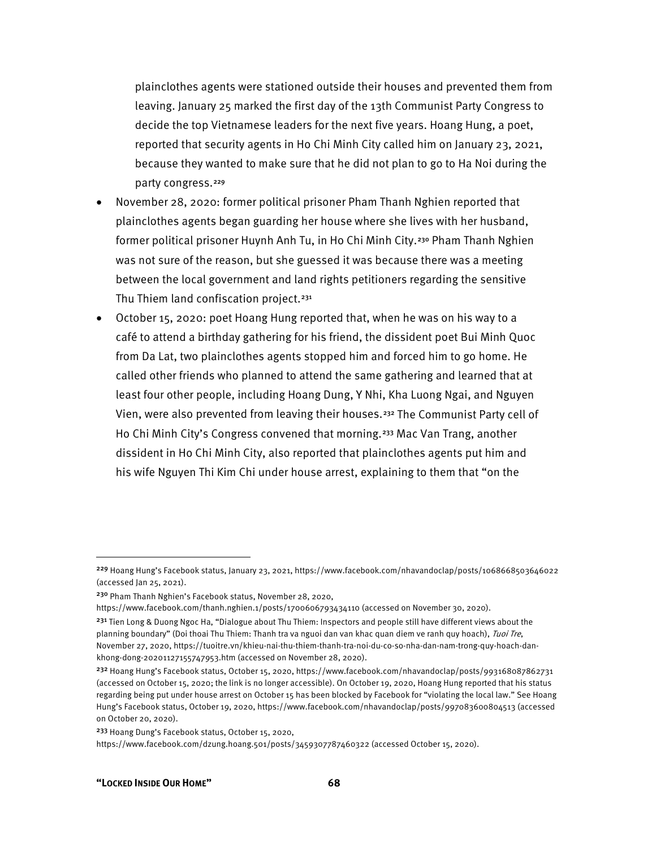plainclothes agents were stationed outside their houses and prevented them from leaving. January 25 marked the first day of the 13th Communist Party Congress to decide the top Vietnamese leaders for the next five years. Hoang Hung, a poet, reported that security agents in Ho Chi Minh City called him on January 23, 2021, because they wanted to make sure that he did not plan to go to Ha Noi during the party congress.<sup>[229](#page-1-0)</sup>

- November 28, 2020: former political prisoner Pham Thanh Nghien reported that plainclothes agents began guarding her house where she lives with her husband, former political prisoner Huynh Anh Tu, in Ho Chi Minh City.<sup>[230](#page-1-1)</sup> Pham Thanh Nghien was not sure of the reason, but she guessed it was because there was a meeting between the local government and land rights petitioners regarding the sensitive Thu Thiem land confiscation project.<sup>[231](#page-1-2)</sup>
- October 15, 2020: poet Hoang Hung reported that, when he was on his way to a café to attend a birthday gathering for his friend, the dissident poet Bui Minh Quoc from Da Lat, two plainclothes agents stopped him and forced him to go home. He called other friends who planned to attend the same gathering and learned that at least four other people, including Hoang Dung, Y Nhi, Kha Luong Ngai, and Nguyen Vien, were also prevented from leaving their houses.[232](#page-1-3) The Communist Party cell of Ho Chi Minh City's Congress convened that morning.<sup>[233](#page-1-4)</sup> Mac Van Trang, another dissident in Ho Chi Minh City, also reported that plainclothes agents put him and his wife Nguyen Thi Kim Chi under house arrest, explaining to them that "on the

<span id="page-1-0"></span><sup>229</sup> Hoang Hung's Facebook status, January 23, 2021, https://www.facebook.com/nhavandoclap/posts/1068668503646022 (accessed Jan 25, 2021).

<span id="page-1-1"></span><sup>230</sup> Pham Thanh Nghien's Facebook status, November 28, 2020,

https://www.facebook.com/thanh.nghien.1/posts/1700606793434110 (accessed on November 30, 2020).

<span id="page-1-2"></span><sup>&</sup>lt;sup>231</sup> Tien Long & Duong Ngoc Ha, "Dialogue about Thu Thiem: Inspectors and people still have different views about the planning boundary" (Doi thoai Thu Thiem: Thanh tra va nguoi dan van khac quan diem ve ranh quy hoach), Tuoi Tre, November 27, 2020, https://tuoitre.vn/khieu-nai-thu-thiem-thanh-tra-noi-du-co-so-nha-dan-nam-trong-quy-hoach-dankhong-dong-20201127155747953.htm (accessed on November 28, 2020).

<span id="page-1-3"></span><sup>232</sup> Hoang Hung's Facebook status, October 15, 2020, https://www.facebook.com/nhavandoclap/posts/993168087862731 (accessed on October 15, 2020; the link is no longer accessible). On October 19, 2020, Hoang Hung reported that his status regarding being put under house arrest on October 15 has been blocked by Facebook for "violating the local law." See Hoang Hung's Facebook status, October 19, 2020, https://www.facebook.com/nhavandoclap/posts/997083600804513 (accessed on October 20, 2020).

<span id="page-1-4"></span><sup>233</sup> Hoang Dung's Facebook status, October 15, 2020,

https://www.facebook.com/dzung.hoang.501/posts/3459307787460322 (accessed October 15, 2020).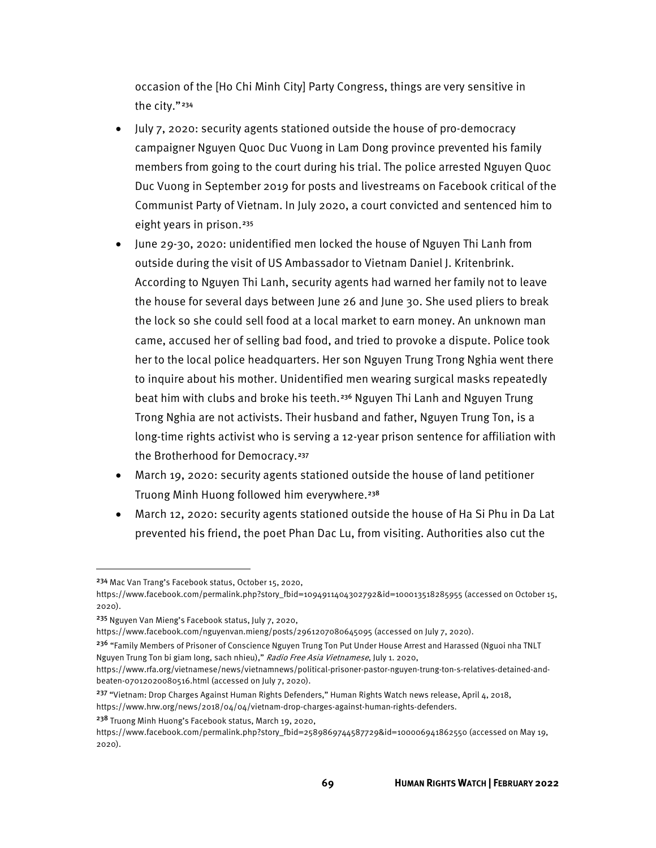occasion of the [Ho Chi Minh City] Party Congress, things are very sensitive in the city."[234](#page-2-0)

- July 7, 2020: security agents stationed outside the house of pro-democracy campaigner Nguyen Quoc Duc Vuong in Lam Dong province prevented his family members from going to the court during his trial. The police arrested Nguyen Quoc Duc Vuong in September 2019 for posts and livestreams on Facebook critical of the Communist Party of Vietnam. In July 2020, a court convicted and sentenced him to eight years in prison.<sup>[235](#page-2-1)</sup>
- June 29-30, 2020: unidentified men locked the house of Nguyen Thi Lanh from outside during the visit of US Ambassador to Vietnam Daniel J. Kritenbrink. According to Nguyen Thi Lanh, security agents had warned her family not to leave the house for several days between June 26 and June 30. She used pliers to break the lock so she could sell food at a local market to earn money. An unknown man came, accused her of selling bad food, and tried to provoke a dispute. Police took her to the local police headquarters. Her son Nguyen Trung Trong Nghia went there to inquire about his mother. Unidentified men wearing surgical masks repeatedly beat him with clubs and broke his teeth.[236](#page-2-2) Nguyen Thi Lanh and Nguyen Trung Trong Nghia are not activists. Their husband and father, Nguyen Trung Ton, is a long-time rights activist who is serving a 12-year prison sentence for affiliation with the Brotherhood for Democracy.<sup>[237](#page-2-3)</sup>
- March 19, 2020: security agents stationed outside the house of land petitioner Truong Minh Huong followed him everywhere.<sup>[238](#page-2-4)</sup>
- March 12, 2020: security agents stationed outside the house of Ha Si Phu in Da Lat prevented his friend, the poet Phan Dac Lu, from visiting. Authorities also cut the

<span id="page-2-4"></span><sup>238</sup> Truong Minh Huong's Facebook status, March 19, 2020,

<span id="page-2-0"></span><sup>234</sup> Mac Van Trang's Facebook status, October 15, 2020,

https://www.facebook.com/permalink.php?story\_fbid=1094911404302792&id=100013518285955 (accessed on October 15, 2020).

<span id="page-2-1"></span><sup>235</sup> Nguyen Van Mieng's Facebook status, July 7, 2020,

https://www.facebook.com/nguyenvan.mieng/posts/2961207080645095 (accessed on July 7, 2020).

<span id="page-2-2"></span><sup>&</sup>lt;sup>236</sup> "Family Members of Prisoner of Conscience Nguyen Trung Ton Put Under House Arrest and Harassed (Nguoi nha TNLT Nguyen Trung Ton bi giam long, sach nhieu)," Radio Free Asia Vietnamese, July 1. 2020,

https://www.rfa.org/vietnamese/news/vietnamnews/political-prisoner-pastor-nguyen-trung-ton-s-relatives-detained-andbeaten-07012020080516.html (accessed on July 7, 2020).

<span id="page-2-3"></span><sup>&</sup>lt;sup>237</sup> "Vietnam: Drop Charges Against Human Rights Defenders," Human Rights Watch news release, April 4, 2018, https://www.hrw.org/news/2018/04/04/vietnam-drop-charges-against-human-rights-defenders.

https://www.facebook.com/permalink.php?story\_fbid=2589869744587729&id=100006941862550 (accessed on May 19, 2020).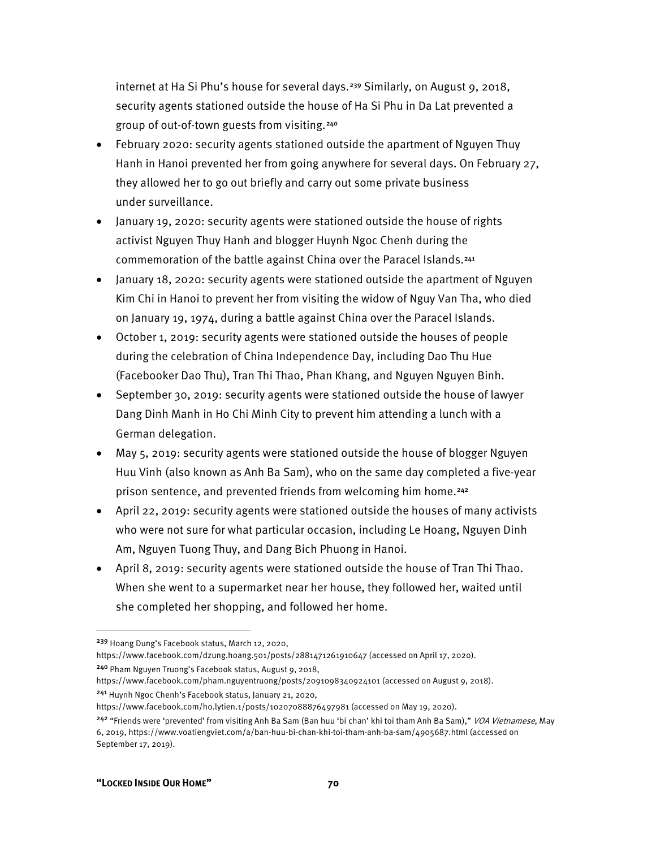internet at Ha Si Phu's house for several days.[239](#page-3-0) Similarly, on August 9, 2018, security agents stationed outside the house of Ha Si Phu in Da Lat prevented a group of out-of-town guests from visiting.[240](#page-3-1)

- February 2020: security agents stationed outside the apartment of Nguyen Thuy Hanh in Hanoi prevented her from going anywhere for several days. On February 27, they allowed her to go out briefly and carry out some private business under surveillance.
- January 19, 2020: security agents were stationed outside the house of rights activist Nguyen Thuy Hanh and blogger Huynh Ngoc Chenh during the commemoration of the battle against China over the Paracel Islands.[241](#page-3-2)
- January 18, 2020: security agents were stationed outside the apartment of Nguyen Kim Chi in Hanoi to prevent her from visiting the widow of Nguy Van Tha, who died on January 19, 1974, during a battle against China over the Paracel Islands.
- October 1, 2019: security agents were stationed outside the houses of people during the celebration of China Independence Day, including Dao Thu Hue (Facebooker Dao Thu), Tran Thi Thao, Phan Khang, and Nguyen Nguyen Binh.
- September 30, 2019: security agents were stationed outside the house of lawyer Dang Dinh Manh in Ho Chi Minh City to prevent him attending a lunch with a German delegation.
- May 5, 2019: security agents were stationed outside the house of blogger Nguyen Huu Vinh (also known as Anh Ba Sam), who on the same day completed a five-year prison sentence, and prevented friends from welcoming him home.<sup>[242](#page-3-3)</sup>
- April 22, 2019: security agents were stationed outside the houses of many activists who were not sure for what particular occasion, including Le Hoang, Nguyen Dinh Am, Nguyen Tuong Thuy, and Dang Bich Phuong in Hanoi.
- April 8, 2019: security agents were stationed outside the house of Tran Thi Thao. When she went to a supermarket near her house, they followed her, waited until she completed her shopping, and followed her home.

<span id="page-3-0"></span><sup>239</sup> Hoang Dung's Facebook status, March 12, 2020,

https://www.facebook.com/dzung.hoang.501/posts/2881471261910647 (accessed on April 17, 2020). <sup>240</sup> Pham Nguyen Truong's Facebook status, August 9, 2018,

<span id="page-3-2"></span><span id="page-3-1"></span>https://www.facebook.com/pham.nguyentruong/posts/2091098340924101 (accessed on August 9, 2018). <sup>241</sup> Huynh Ngoc Chenh's Facebook status, January 21, 2020,

https://www.facebook.com/ho.lytien.1/posts/10207088876497981 (accessed on May 19, 2020).

<span id="page-3-3"></span><sup>&</sup>lt;sup>242</sup> "Friends were 'prevented' from visiting Anh Ba Sam (Ban huu 'bi chan' khi toi tham Anh Ba Sam)," *VOA Vietnamese*, May 6, 2019, https://www.voatiengviet.com/a/ban-huu-bi-chan-khi-toi-tham-anh-ba-sam/4905687.html (accessed on September 17, 2019).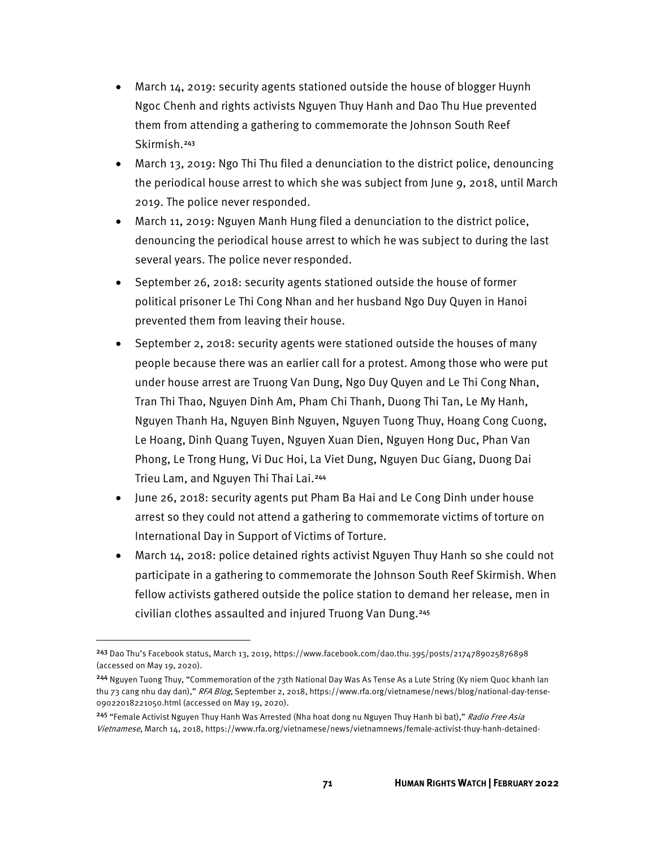- March 14, 2019: security agents stationed outside the house of blogger Huynh Ngoc Chenh and rights activists Nguyen Thuy Hanh and Dao Thu Hue prevented them from attending a gathering to commemorate the Johnson South Reef Skirmish.[243](#page-4-0)
- March 13, 2019: Ngo Thi Thu filed a denunciation to the district police, denouncing the periodical house arrest to which she was subject from June 9, 2018, until March 2019. The police never responded.
- March 11, 2019: Nguyen Manh Hung filed a denunciation to the district police, denouncing the periodical house arrest to which he was subject to during the last several years. The police never responded.
- September 26, 2018: security agents stationed outside the house of former political prisoner Le Thi Cong Nhan and her husband Ngo Duy Quyen in Hanoi prevented them from leaving their house.
- September 2, 2018: security agents were stationed outside the houses of many people because there was an earlier call for a protest. Among those who were put under house arrest are Truong Van Dung, Ngo Duy Quyen and Le Thi Cong Nhan, Tran Thi Thao, Nguyen Dinh Am, Pham Chi Thanh, Duong Thi Tan, Le My Hanh, Nguyen Thanh Ha, Nguyen Binh Nguyen, Nguyen Tuong Thuy, Hoang Cong Cuong, Le Hoang, Dinh Quang Tuyen, Nguyen Xuan Dien, Nguyen Hong Duc, Phan Van Phong, Le Trong Hung, Vi Duc Hoi, La Viet Dung, Nguyen Duc Giang, Duong Dai Trieu Lam, and Nguyen Thi Thai Lai.[244](#page-4-1)
- June 26, 2018: security agents put Pham Ba Hai and Le Cong Dinh under house arrest so they could not attend a gathering to commemorate victims of torture on International Day in Support of Victims of Torture.
- March 14, 2018: police detained rights activist Nguyen Thuy Hanh so she could not participate in a gathering to commemorate the Johnson South Reef Skirmish. When fellow activists gathered outside the police station to demand her release, men in civilian clothes assaulted and injured Truong Van Dung.[245](#page-4-2)

<span id="page-4-0"></span><sup>243</sup> Dao Thu's Facebook status, March 13, 2019, https://www.facebook.com/dao.thu.395/posts/2174789025876898 (accessed on May 19, 2020).

<span id="page-4-1"></span><sup>244</sup> Nguyen Tuong Thuy, "Commemoration of the 73th National Day Was As Tense As a Lute String (Ky niem Quoc khanh lan thu 73 cang nhu day dan)," RFA Blog, September 2, 2018, https://www.rfa.org/vietnamese/news/blog/national-day-tense-09022018221050.html (accessed on May 19, 2020).

<span id="page-4-2"></span><sup>&</sup>lt;sup>245</sup> "Female Activist Nguyen Thuy Hanh Was Arrested (Nha hoat dong nu Nguyen Thuy Hanh bi bat)," Radio Free Asia Vietnamese, March 14, 2018, https://www.rfa.org/vietnamese/news/vietnamnews/female-activist-thuy-hanh-detained-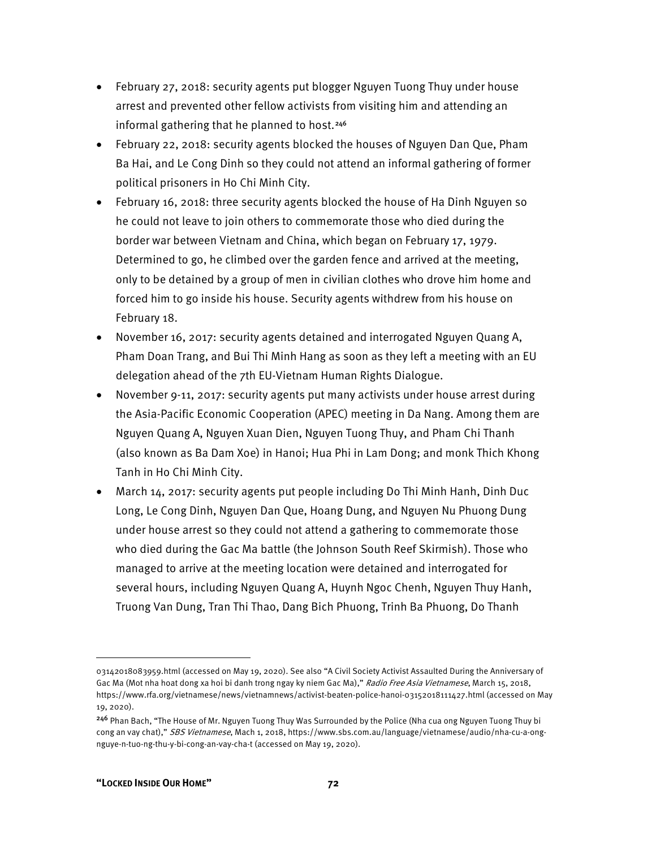- February 27, 2018: security agents put blogger Nguyen Tuong Thuy under house arrest and prevented other fellow activists from visiting him and attending an informal gathering that he planned to host.<sup>[246](#page-5-0)</sup>
- February 22, 2018: security agents blocked the houses of Nguyen Dan Que, Pham Ba Hai, and Le Cong Dinh so they could not attend an informal gathering of former political prisoners in Ho Chi Minh City.
- February 16, 2018: three security agents blocked the house of Ha Dinh Nguyen so he could not leave to join others to commemorate those who died during the border war between Vietnam and China, which began on February 17, 1979. Determined to go, he climbed over the garden fence and arrived at the meeting, only to be detained by a group of men in civilian clothes who drove him home and forced him to go inside his house. Security agents withdrew from his house on February 18.
- November 16, 2017: security agents detained and interrogated Nguyen Quang A, Pham Doan Trang, and Bui Thi Minh Hang as soon as they left a meeting with an EU delegation ahead of the 7th EU-Vietnam Human Rights Dialogue.
- November 9-11, 2017: security agents put many activists under house arrest during the Asia-Pacific Economic Cooperation (APEC) meeting in Da Nang. Among them are Nguyen Quang A, Nguyen Xuan Dien, Nguyen Tuong Thuy, and Pham Chi Thanh (also known as Ba Dam Xoe) in Hanoi; Hua Phi in Lam Dong; and monk Thich Khong Tanh in Ho Chi Minh City.
- March 14, 2017: security agents put people including Do Thi Minh Hanh, Dinh Duc Long, Le Cong Dinh, Nguyen Dan Que, Hoang Dung, and Nguyen Nu Phuong Dung under house arrest so they could not attend a gathering to commemorate those who died during the Gac Ma battle (the Johnson South Reef Skirmish). Those who managed to arrive at the meeting location were detained and interrogated for several hours, including Nguyen Quang A, Huynh Ngoc Chenh, Nguyen Thuy Hanh, Truong Van Dung, Tran Thi Thao, Dang Bich Phuong, Trinh Ba Phuong, Do Thanh

<sup>03142018083959.</sup>html (accessed on May 19, 2020). See also "A Civil Society Activist Assaulted During the Anniversary of Gac Ma (Mot nha hoat dong xa hoi bi danh trong ngay ky niem Gac Ma)," Radio Free Asia Vietnamese, March 15, 2018, https://www.rfa.org/vietnamese/news/vietnamnews/activist-beaten-police-hanoi-03152018111427.html (accessed on May 19, 2020).

<span id="page-5-0"></span><sup>&</sup>lt;sup>246</sup> Phan Bach, "The House of Mr. Nguyen Tuong Thuy Was Surrounded by the Police (Nha cua ong Nguyen Tuong Thuy bi cong an vay chat)," SBS Vietnamese, Mach 1, 2018, https://www.sbs.com.au/language/vietnamese/audio/nha-cu-a-ongnguye-n-tuo-ng-thu-y-bi-cong-an-vay-cha-t (accessed on May 19, 2020).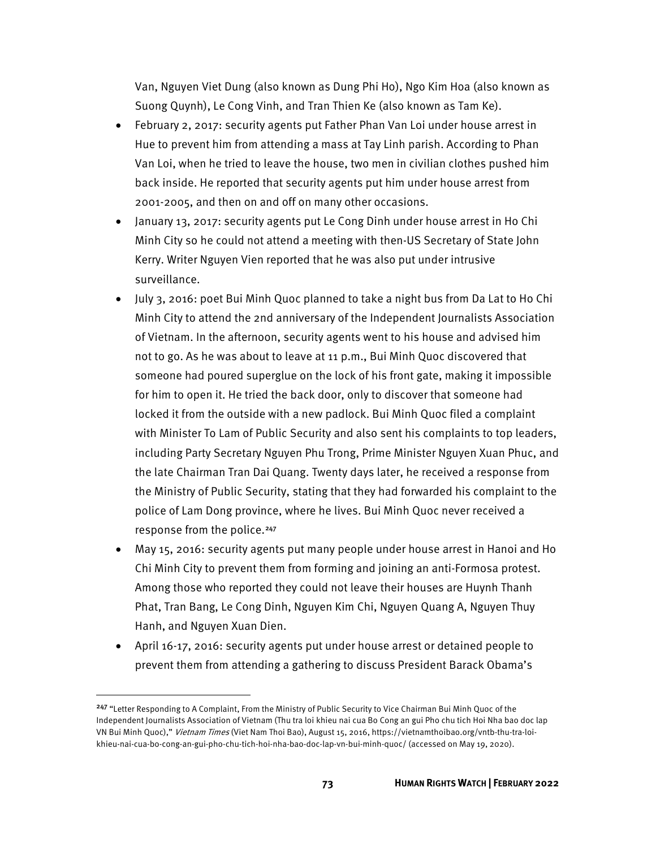Van, Nguyen Viet Dung (also known as Dung Phi Ho), Ngo Kim Hoa (also known as Suong Quynh), Le Cong Vinh, and Tran Thien Ke (also known as Tam Ke).

- February 2, 2017: security agents put Father Phan Van Loi under house arrest in Hue to prevent him from attending a mass at Tay Linh parish. According to Phan Van Loi, when he tried to leave the house, two men in civilian clothes pushed him back inside. He reported that security agents put him under house arrest from 2001-2005, and then on and off on many other occasions.
- January 13, 2017: security agents put Le Cong Dinh under house arrest in Ho Chi Minh City so he could not attend a meeting with then-US Secretary of State John Kerry. Writer Nguyen Vien reported that he was also put under intrusive surveillance.
- July 3, 2016: poet Bui Minh Quoc planned to take a night bus from Da Lat to Ho Chi Minh City to attend the 2nd anniversary of the Independent Journalists Association of Vietnam. In the afternoon, security agents went to his house and advised him not to go. As he was about to leave at 11 p.m., Bui Minh Quoc discovered that someone had poured superglue on the lock of his front gate, making it impossible for him to open it. He tried the back door, only to discover that someone had locked it from the outside with a new padlock. Bui Minh Quoc filed a complaint with Minister To Lam of Public Security and also sent his complaints to top leaders, including Party Secretary Nguyen Phu Trong, Prime Minister Nguyen Xuan Phuc, and the late Chairman Tran Dai Quang. Twenty days later, he received a response from the Ministry of Public Security, stating that they had forwarded his complaint to the police of Lam Dong province, where he lives. Bui Minh Quoc never received a response from the police.<sup>[247](#page-6-0)</sup>
- May 15, 2016: security agents put many people under house arrest in Hanoi and Ho Chi Minh City to prevent them from forming and joining an anti-Formosa protest. Among those who reported they could not leave their houses are Huynh Thanh Phat, Tran Bang, Le Cong Dinh, Nguyen Kim Chi, Nguyen Quang A, Nguyen Thuy Hanh, and Nguyen Xuan Dien.
- April 16-17, 2016: security agents put under house arrest or detained people to prevent them from attending a gathering to discuss President Barack Obama's

<span id="page-6-0"></span><sup>247</sup> "Letter Responding to A Complaint, From the Ministry of Public Security to Vice Chairman Bui Minh Quoc of the Independent Journalists Association of Vietnam (Thu tra loi khieu nai cua Bo Cong an gui Pho chu tich Hoi Nha bao doc lap VN Bui Minh Quoc)," Vietnam Times (Viet Nam Thoi Bao), August 15, 2016, https://vietnamthoibao.org/vntb-thu-tra-loikhieu-nai-cua-bo-cong-an-gui-pho-chu-tich-hoi-nha-bao-doc-lap-vn-bui-minh-quoc/ (accessed on May 19, 2020).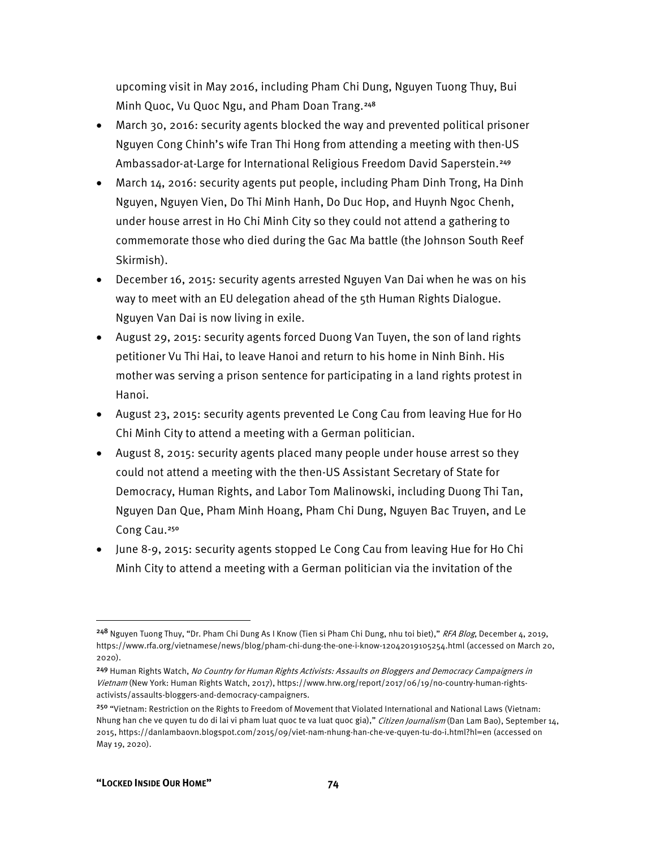upcoming visit in May 2016, including Pham Chi Dung, Nguyen Tuong Thuy, Bui Minh Quoc, Vu Quoc Ngu, and Pham Doan Trang.<sup>[248](#page-7-0)</sup>

- March 30, 2016: security agents blocked the way and prevented political prisoner Nguyen Cong Chinh's wife Tran Thi Hong from attending a meeting with then-US Ambassador-at-Large for International Religious Freedom David Saperstein.<sup>[249](#page-7-1)</sup>
- March 14, 2016: security agents put people, including Pham Dinh Trong, Ha Dinh Nguyen, Nguyen Vien, Do Thi Minh Hanh, Do Duc Hop, and Huynh Ngoc Chenh, under house arrest in Ho Chi Minh City so they could not attend a gathering to commemorate those who died during the Gac Ma battle (the Johnson South Reef Skirmish).
- December 16, 2015: security agents arrested Nguyen Van Dai when he was on his way to meet with an EU delegation ahead of the 5th Human Rights Dialogue. Nguyen Van Dai is now living in exile.
- August 29, 2015: security agents forced Duong Van Tuyen, the son of land rights petitioner Vu Thi Hai, to leave Hanoi and return to his home in Ninh Binh. His mother was serving a prison sentence for participating in a land rights protest in Hanoi.
- August 23, 2015: security agents prevented Le Cong Cau from leaving Hue for Ho Chi Minh City to attend a meeting with a German politician.
- August 8, 2015: security agents placed many people under house arrest so they could not attend a meeting with the then-US Assistant Secretary of State for Democracy, Human Rights, and Labor Tom Malinowski, including Duong Thi Tan, Nguyen Dan Que, Pham Minh Hoang, Pham Chi Dung, Nguyen Bac Truyen, and Le Cong Cau.<sup>[250](#page-7-2)</sup>
- June 8-9, 2015: security agents stopped Le Cong Cau from leaving Hue for Ho Chi Minh City to attend a meeting with a German politician via the invitation of the

<span id="page-7-0"></span><sup>&</sup>lt;sup>248</sup> Nguyen Tuong Thuy, "Dr. Pham Chi Dung As I Know (Tien si Pham Chi Dung, nhu toi biet)," RFA Blog, December 4, 2019, https://www.rfa.org/vietnamese/news/blog/pham-chi-dung-the-one-i-know-12042019105254.html (accessed on March 20, 2020).

<span id="page-7-1"></span><sup>&</sup>lt;sup>249</sup> Human Rights Watch, No Country for Human Rights Activists: Assaults on Bloggers and Democracy Campaigners in Vietnam (New York: Human Rights Watch, 2017), https://www.hrw.org/report/2017/06/19/no-country-human-rightsactivists/assaults-bloggers-and-democracy-campaigners.

<span id="page-7-2"></span><sup>&</sup>lt;sup>250</sup> "Vietnam: Restriction on the Rights to Freedom of Movement that Violated International and National Laws (Vietnam: Nhung han che ve quyen tu do di lai vi pham luat quoc te va luat quoc gia)," Citizen Journalism (Dan Lam Bao), September 14, 2015, https://danlambaovn.blogspot.com/2015/09/viet-nam-nhung-han-che-ve-quyen-tu-do-i.html?hl=en (accessed on May 19, 2020).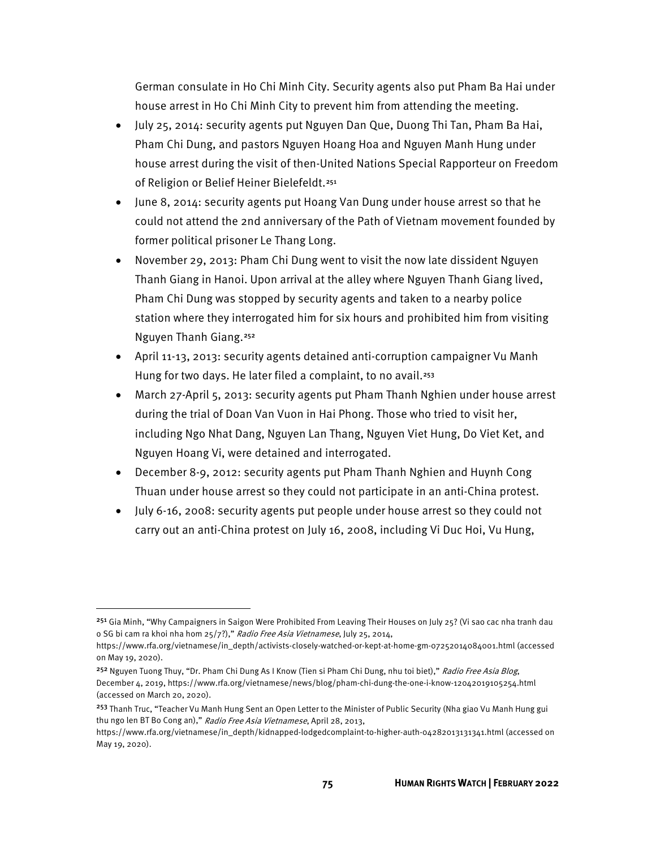German consulate in Ho Chi Minh City. Security agents also put Pham Ba Hai under house arrest in Ho Chi Minh City to prevent him from attending the meeting.

- July 25, 2014: security agents put Nguyen Dan Que, Duong Thi Tan, Pham Ba Hai, Pham Chi Dung, and pastors Nguyen Hoang Hoa and Nguyen Manh Hung under house arrest during the visit of then-United Nations Special Rapporteur on Freedom of Religion or Belief Heiner Bielefeldt.<sup>[251](#page-8-0)</sup>
- June 8, 2014: security agents put Hoang Van Dung under house arrest so that he could not attend the 2nd anniversary of the Path of Vietnam movement founded by former political prisoner Le Thang Long.
- November 29, 2013: Pham Chi Dung went to visit the now late dissident Nguyen Thanh Giang in Hanoi. Upon arrival at the alley where Nguyen Thanh Giang lived, Pham Chi Dung was stopped by security agents and taken to a nearby police station where they interrogated him for six hours and prohibited him from visiting Nguyen Thanh Giang.[252](#page-8-1)
- April 11-13, 2013: security agents detained anti-corruption campaigner Vu Manh Hung for two days. He later filed a complaint, to no avail.<sup>[253](#page-8-2)</sup>
- March 27-April 5, 2013: security agents put Pham Thanh Nghien under house arrest during the trial of Doan Van Vuon in Hai Phong. Those who tried to visit her, including Ngo Nhat Dang, Nguyen Lan Thang, Nguyen Viet Hung, Do Viet Ket, and Nguyen Hoang Vi, were detained and interrogated.
- December 8-9, 2012: security agents put Pham Thanh Nghien and Huynh Cong Thuan under house arrest so they could not participate in an anti-China protest.
- July 6-16, 2008: security agents put people under house arrest so they could not carry out an anti-China protest on July 16, 2008, including Vi Duc Hoi, Vu Hung,

<span id="page-8-0"></span><sup>251</sup> Gia Minh, "Why Campaigners in Saigon Were Prohibited From Leaving Their Houses on July 25? (Vi sao cac nha tranh dau o SG bi cam ra khoi nha hom 25/7?)," Radio Free Asia Vietnamese, July 25, 2014,

https://www.rfa.org/vietnamese/in\_depth/activists-closely-watched-or-kept-at-home-gm-07252014084001.html (accessed on May 19, 2020).

<span id="page-8-1"></span><sup>&</sup>lt;sup>252</sup> Nguyen Tuong Thuy, "Dr. Pham Chi Dung As I Know (Tien si Pham Chi Dung, nhu toi biet)," Radio Free Asia Blog, December 4, 2019, https://www.rfa.org/vietnamese/news/blog/pham-chi-dung-the-one-i-know-12042019105254.html (accessed on March 20, 2020).

<span id="page-8-2"></span><sup>253</sup> Thanh Truc, "Teacher Vu Manh Hung Sent an Open Letter to the Minister of Public Security (Nha giao Vu Manh Hung gui thu ngo len BT Bo Cong an)," Radio Free Asia Vietnamese, April 28, 2013,

https://www.rfa.org/vietnamese/in\_depth/kidnapped-lodgedcomplaint-to-higher-auth-04282013131341.html (accessed on May 19, 2020).